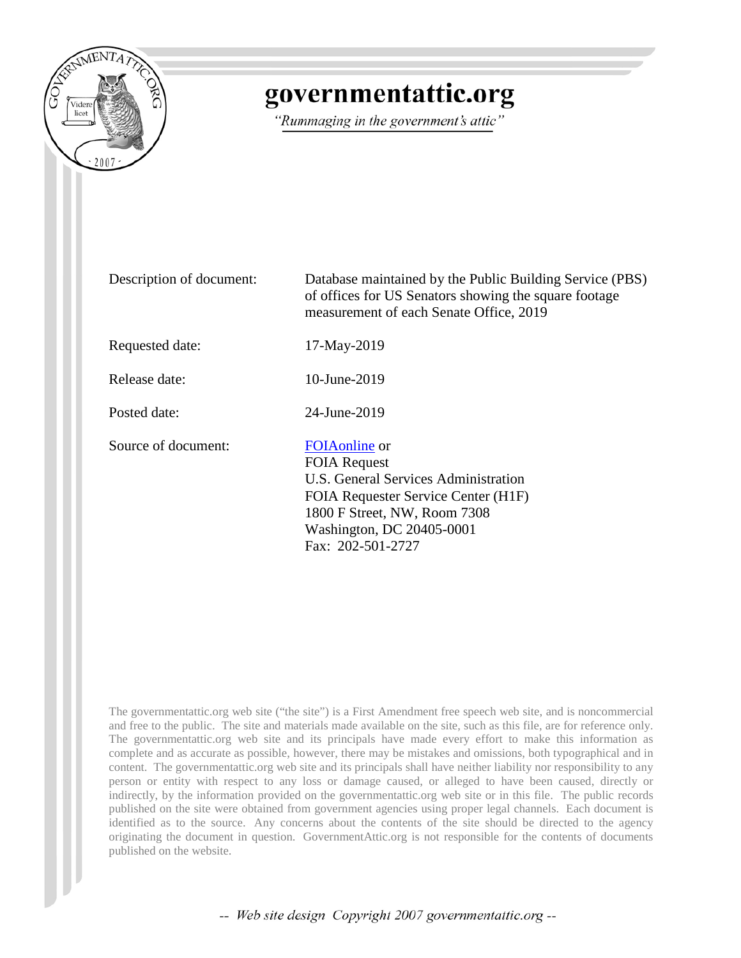

# governmentattic.org

"Rummaging in the government's attic"

Description of document: Database maintained by the Public Building Service (PBS) of offices for US Senators showing the square footage measurement of each Senate Office, 2019 Requested date: 17-May-2019 Release date: 10-June-2019 Posted date: 24-June-2019 Source of document: [FOIAonline](https://www.gsa.gov/reference/freedom-of-information-act-foia) or FOIA Request U.S. General Services Administration FOIA Requester Service Center (H1F) 1800 F Street, NW, Room 7308 Washington, DC 20405-0001 Fax: 202-501-2727

The governmentattic.org web site ("the site") is a First Amendment free speech web site, and is noncommercial and free to the public. The site and materials made available on the site, such as this file, are for reference only. The governmentattic.org web site and its principals have made every effort to make this information as complete and as accurate as possible, however, there may be mistakes and omissions, both typographical and in content. The governmentattic.org web site and its principals shall have neither liability nor responsibility to any person or entity with respect to any loss or damage caused, or alleged to have been caused, directly or indirectly, by the information provided on the governmentattic.org web site or in this file. The public records published on the site were obtained from government agencies using proper legal channels. Each document is identified as to the source. Any concerns about the contents of the site should be directed to the agency originating the document in question. GovernmentAttic.org is not responsible for the contents of documents published on the website.

-- Web site design Copyright 2007 governmentattic.org --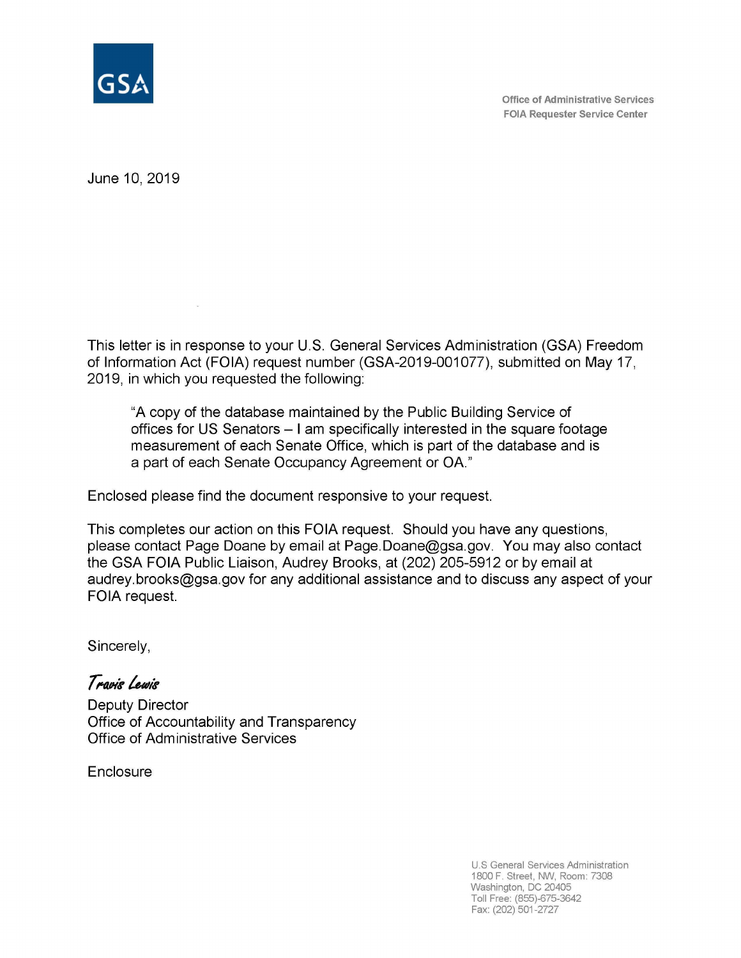

**Office of Administrative Services FOIA Requester Service Center** 

June 10, 2019

 $\langle \Delta \rangle$ 

This letter is in response to your U.S. General Services Administration (GSA) Freedom of Information Act (FOIA) request number (GSA-2019-001077), submitted on May 17, 2019, in which you requested the following:

"A copy of the database maintained by the Public Building Service of offices for US Senators - I am specifically interested in the square footage measurement of each Senate Office, which is part of the database and is a part of each Senate Occupancy Agreement or OA."

Enclosed please find the document responsive to your request.

This completes our action on this FOIA request. Should you have any questions, please contact Page Doane by email at Page.Doane@gsa.gov. You may also contact the GSA FOIA Public Liaison, Audrey Brooks, at (202) 205-5912 or by email at audrey.brooks@gsa.gov for any additional assistance and to discuss any aspect of your FOIA request.

Sincerely,

 $T$  ravis Lewis Deputy Director Office of Accountability and Transparency Office of Administrative Services

**Enclosure** 

U.S General Services Administration 1800 F. Street, NW, Room: 7308 Washington, DC 20405 Toll Free: (855)-675-3642 Fax: (202) 501-2727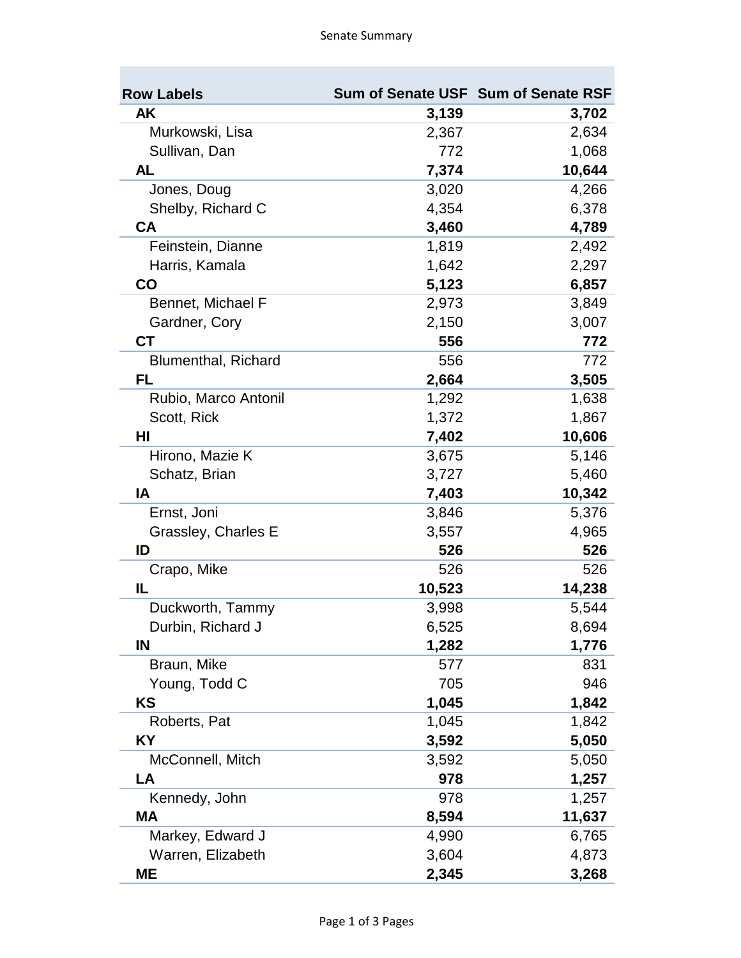| <b>Row Labels</b>          |        | Sum of Senate USF Sum of Senate RSF |
|----------------------------|--------|-------------------------------------|
| AK                         | 3,139  | 3,702                               |
| Murkowski, Lisa            | 2,367  | 2,634                               |
| Sullivan, Dan              | 772    | 1,068                               |
| <b>AL</b>                  | 7,374  | 10,644                              |
| Jones, Doug                | 3,020  | 4,266                               |
| Shelby, Richard C          | 4,354  | 6,378                               |
| <b>CA</b>                  | 3,460  | 4,789                               |
| Feinstein, Dianne          | 1,819  | 2,492                               |
| Harris, Kamala             | 1,642  | 2,297                               |
| $\mathsf{CO}$              | 5,123  | 6,857                               |
| Bennet, Michael F          | 2,973  | 3,849                               |
| Gardner, Cory              | 2,150  | 3,007                               |
| <b>CT</b>                  | 556    | 772                                 |
| <b>Blumenthal, Richard</b> | 556    | 772                                 |
| FL.                        | 2,664  | 3,505                               |
| Rubio, Marco Antonil       | 1,292  | 1,638                               |
| Scott, Rick                | 1,372  | 1,867                               |
| HI                         | 7,402  | 10,606                              |
| Hirono, Mazie K            | 3,675  | 5,146                               |
| Schatz, Brian              | 3,727  | 5,460                               |
| IA                         | 7,403  | 10,342                              |
| Ernst, Joni                | 3,846  | 5,376                               |
| Grassley, Charles E        | 3,557  | 4,965                               |
| ID                         | 526    | 526                                 |
| Crapo, Mike                | 526    | 526                                 |
| IL                         | 10,523 | 14,238                              |
| Duckworth, Tammy           | 3,998  | 5,544                               |
| Durbin, Richard J          | 6,525  | 8,694                               |
| IN                         | 1,282  | 1,776                               |
| Braun, Mike                | 577    | 831                                 |
| Young, Todd C              | 705    | 946                                 |
| <b>KS</b>                  | 1,045  | 1,842                               |
| Roberts, Pat               | 1,045  | 1,842                               |
| <b>KY</b>                  | 3,592  | 5,050                               |
| McConnell, Mitch           | 3,592  | 5,050                               |
| LA                         | 978    | 1,257                               |
| Kennedy, John              | 978    | 1,257                               |
| <b>MA</b>                  | 8,594  | 11,637                              |
| Markey, Edward J           | 4,990  | 6,765                               |
| Warren, Elizabeth          | 3,604  | 4,873                               |
| ME                         | 2,345  | 3,268                               |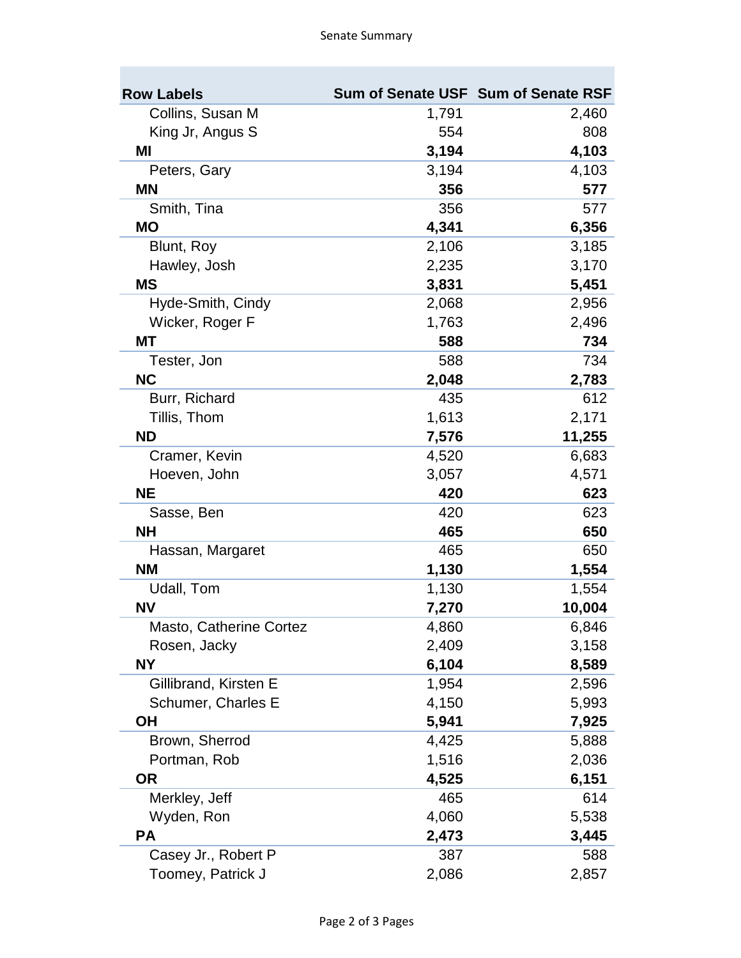| <b>Row Labels</b>       |       | Sum of Senate USF Sum of Senate RSF |
|-------------------------|-------|-------------------------------------|
| Collins, Susan M        | 1,791 | 2,460                               |
| King Jr, Angus S        | 554   | 808                                 |
| ΜI                      | 3,194 | 4,103                               |
| Peters, Gary            | 3,194 | 4,103                               |
| <b>MN</b>               | 356   | 577                                 |
| Smith, Tina             | 356   | 577                                 |
| <b>MO</b>               | 4,341 | 6,356                               |
| Blunt, Roy              | 2,106 | 3,185                               |
| Hawley, Josh            | 2,235 | 3,170                               |
| <b>MS</b>               | 3,831 | 5,451                               |
| Hyde-Smith, Cindy       | 2,068 | 2,956                               |
| Wicker, Roger F         | 1,763 | 2,496                               |
| МT                      | 588   | 734                                 |
| Tester, Jon             | 588   | 734                                 |
| <b>NC</b>               | 2,048 | 2,783                               |
| Burr, Richard           | 435   | 612                                 |
| Tillis, Thom            | 1,613 | 2,171                               |
| <b>ND</b>               | 7,576 | 11,255                              |
| Cramer, Kevin           | 4,520 | 6,683                               |
| Hoeven, John            | 3,057 | 4,571                               |
| <b>NE</b>               | 420   | 623                                 |
| Sasse, Ben              | 420   | 623                                 |
| <b>NH</b>               | 465   | 650                                 |
| Hassan, Margaret        | 465   | 650                                 |
| <b>NM</b>               | 1,130 | 1,554                               |
| Udall, Tom              | 1,130 | 1,554                               |
| <b>NV</b>               | 7,270 | 10,004                              |
| Masto, Catherine Cortez | 4,860 | 6,846                               |
| Rosen, Jacky            | 2,409 | 3,158                               |
| <b>NY</b>               | 6,104 | 8,589                               |
| Gillibrand, Kirsten E   | 1,954 | 2,596                               |
| Schumer, Charles E      | 4,150 | 5,993                               |
| <b>OH</b>               | 5,941 | 7,925                               |
| Brown, Sherrod          | 4,425 | 5,888                               |
| Portman, Rob            | 1,516 | 2,036                               |
| <b>OR</b>               | 4,525 | 6,151                               |
| Merkley, Jeff           | 465   | 614                                 |
| Wyden, Ron              | 4,060 | 5,538                               |
| <b>PA</b>               | 2,473 | 3,445                               |
| Casey Jr., Robert P     | 387   | 588                                 |
| Toomey, Patrick J       | 2,086 | 2,857                               |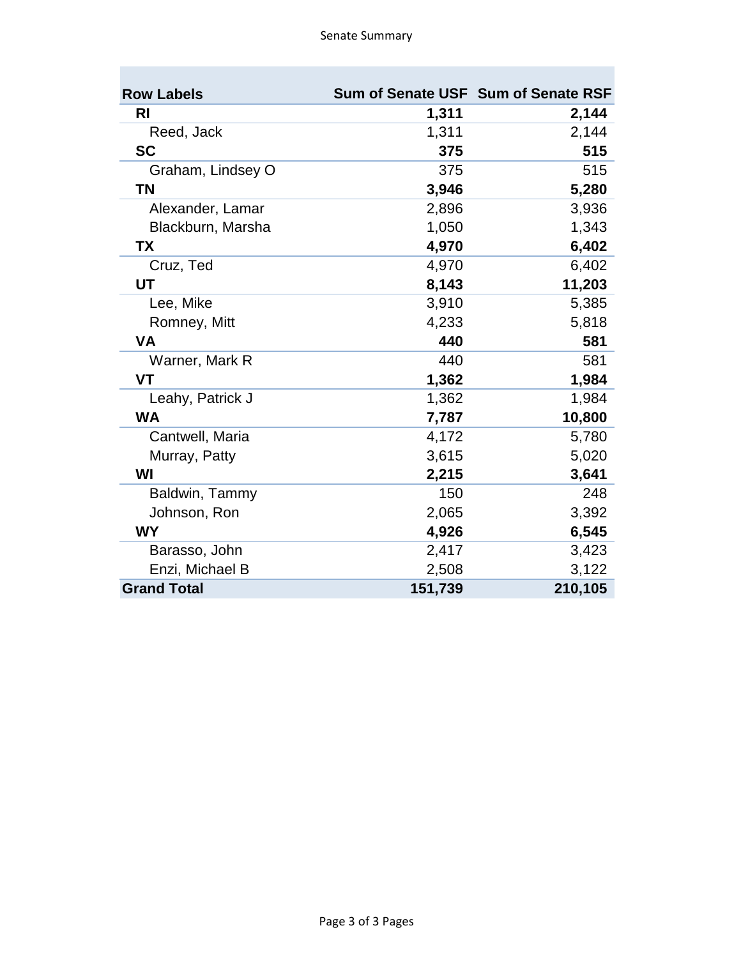| <b>Row Labels</b>  |         | Sum of Senate USF Sum of Senate RSF |
|--------------------|---------|-------------------------------------|
| RI                 | 1,311   | 2,144                               |
| Reed, Jack         | 1,311   | 2,144                               |
| <b>SC</b>          | 375     | 515                                 |
| Graham, Lindsey O  | 375     | 515                                 |
| <b>TN</b>          | 3,946   | 5,280                               |
| Alexander, Lamar   | 2,896   | 3,936                               |
| Blackburn, Marsha  | 1,050   | 1,343                               |
| <b>TX</b>          | 4,970   | 6,402                               |
| Cruz, Ted          | 4,970   | 6,402                               |
| UT                 | 8,143   | 11,203                              |
| Lee, Mike          | 3,910   | 5,385                               |
| Romney, Mitt       | 4,233   | 5,818                               |
| <b>VA</b>          | 440     | 581                                 |
| Warner, Mark R     | 440     | 581                                 |
| <b>VT</b>          | 1,362   | 1,984                               |
| Leahy, Patrick J   | 1,362   | 1,984                               |
| <b>WA</b>          | 7,787   | 10,800                              |
| Cantwell, Maria    | 4,172   | 5,780                               |
| Murray, Patty      | 3,615   | 5,020                               |
| WI                 | 2,215   | 3,641                               |
| Baldwin, Tammy     | 150     | 248                                 |
| Johnson, Ron       | 2,065   | 3,392                               |
| <b>WY</b>          | 4,926   | 6,545                               |
| Barasso, John      | 2,417   | 3,423                               |
| Enzi, Michael B    | 2,508   | 3,122                               |
| <b>Grand Total</b> | 151,739 | 210,105                             |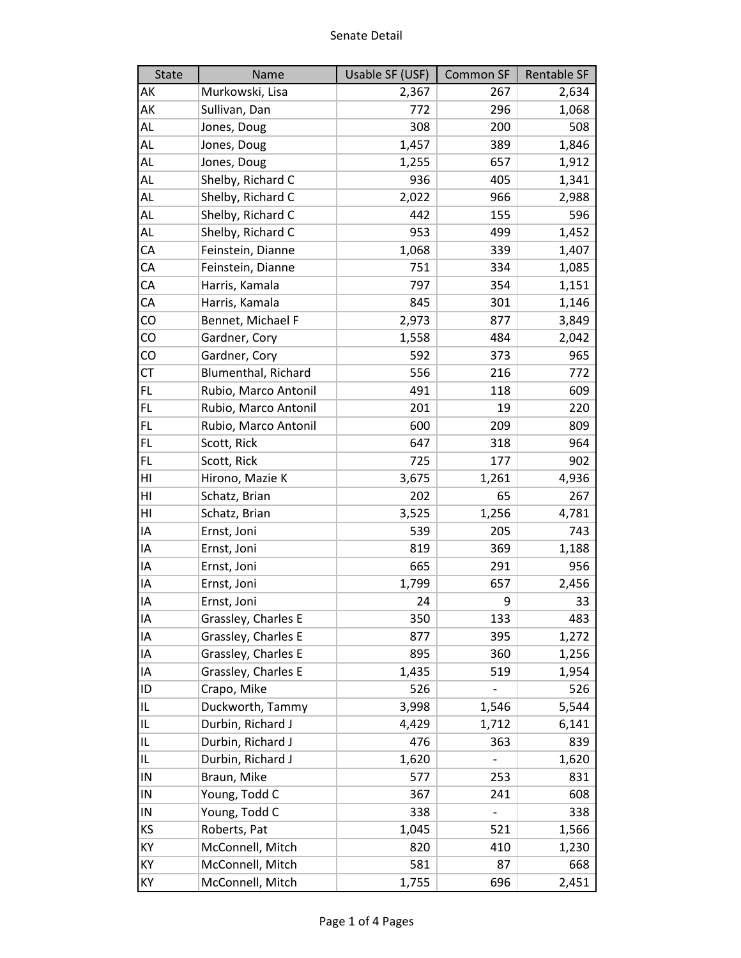| <b>State</b> | Name                 | Usable SF (USF) | <b>Common SF</b> | Rentable SF |
|--------------|----------------------|-----------------|------------------|-------------|
| АK           | Murkowski, Lisa      | 2,367           | 267              | 2,634       |
| АK           | Sullivan, Dan        | 772             | 296              | 1,068       |
| AL           | Jones, Doug          | 308             | 200              | 508         |
| AL           | Jones, Doug          | 1,457           | 389              | 1,846       |
| AL           | Jones, Doug          | 1,255           | 657              | 1,912       |
| AL           | Shelby, Richard C    | 936             | 405              | 1,341       |
| AL           | Shelby, Richard C    | 2,022           | 966              | 2,988       |
| AL           | Shelby, Richard C    | 442             | 155              | 596         |
| AL           | Shelby, Richard C    | 953             | 499              | 1,452       |
| СA           | Feinstein, Dianne    | 1,068           | 339              | 1,407       |
| СA           | Feinstein, Dianne    | 751             | 334              | 1,085       |
| СA           | Harris, Kamala       | 797             | 354              | 1,151       |
| СA           | Harris, Kamala       | 845             | 301              | 1,146       |
| CO           | Bennet, Michael F    | 2,973           | 877              | 3,849       |
| CO           | Gardner, Cory        | 1,558           | 484              | 2,042       |
| CO           | Gardner, Cory        | 592             | 373              | 965         |
| СT           | Blumenthal, Richard  | 556             | 216              | 772         |
| FL.          | Rubio, Marco Antonil | 491             | 118              | 609         |
| FL.          | Rubio, Marco Antonil | 201             | 19               | 220         |
| FL           | Rubio, Marco Antonil | 600             | 209              | 809         |
| FL.          | Scott, Rick          | 647             | 318              | 964         |
| FL           | Scott, Rick          | 725             | 177              | 902         |
| HI           | Hirono, Mazie K      | 3,675           | 1,261            | 4,936       |
| HI           | Schatz, Brian        | 202             | 65               | 267         |
| HI           | Schatz, Brian        | 3,525           | 1,256            | 4,781       |
| ΙA           | Ernst, Joni          | 539             | 205              | 743         |
| ΙA           | Ernst, Joni          | 819             | 369              | 1,188       |
| ΙA           | Ernst, Joni          | 665             | 291              | 956         |
| ΙA           | Ernst, Joni          | 1,799           | 657              | 2,456       |
| ΙA           | Ernst, Joni          | 24              | 9                | 33          |
| ΙA           | Grassley, Charles E  | 350             | 133              | 483         |
| IA           | Grassley, Charles E  | 877             | 395              | 1,272       |
| ΙA           | Grassley, Charles E  | 895             | 360              | 1,256       |
| IA           | Grassley, Charles E  | 1,435           | 519              | 1,954       |
| ID           | Crapo, Mike          | 526             |                  | 526         |
| IL           | Duckworth, Tammy     | 3,998           | 1,546            | 5,544       |
| IL           | Durbin, Richard J    | 4,429           | 1,712            | 6,141       |
| IL.          | Durbin, Richard J    | 476             | 363              | 839         |
| IL           | Durbin, Richard J    | 1,620           |                  | 1,620       |
| IN           | Braun, Mike          | 577             | 253              | 831         |
| IN           | Young, Todd C        | 367             | 241              | 608         |
| IN           | Young, Todd C        | 338             |                  | 338         |
| ΚS           | Roberts, Pat         | 1,045           | 521              | 1,566       |
| KY           | McConnell, Mitch     | 820             | 410              | 1,230       |
| KY           | McConnell, Mitch     | 581             | 87               | 668         |
| КY           | McConnell, Mitch     | 1,755           | 696              | 2,451       |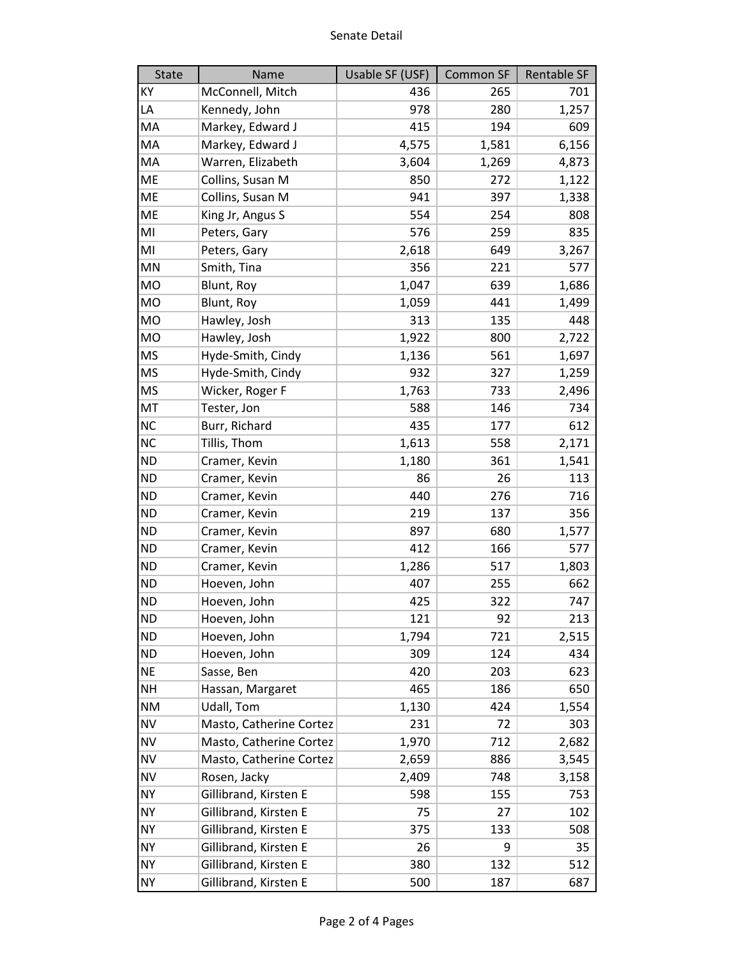| <b>State</b> | Name                    | Usable SF (USF) | <b>Common SF</b> | Rentable SF |
|--------------|-------------------------|-----------------|------------------|-------------|
| KY           | McConnell, Mitch        | 436             | 265              | 701         |
| LA           | Kennedy, John           | 978             | 280              | 1,257       |
| MA           | Markey, Edward J        | 415             | 194              | 609         |
| MA           | Markey, Edward J        | 4,575           | 1,581            | 6,156       |
| MA           | Warren, Elizabeth       | 3,604           | 1,269            | 4,873       |
| ME           | Collins, Susan M        | 850             | 272              | 1,122       |
| <b>ME</b>    | Collins, Susan M        | 941             | 397              | 1,338       |
| ME           | King Jr, Angus S        | 554             | 254              | 808         |
| MI           | Peters, Gary            | 576             | 259              | 835         |
| MI           | Peters, Gary            | 2,618           | 649              | 3,267       |
| MN           | Smith, Tina             | 356             | 221              | 577         |
| <b>MO</b>    | Blunt, Roy              | 1,047           | 639              | 1,686       |
| <b>MO</b>    | Blunt, Roy              | 1,059           | 441              | 1,499       |
| <b>MO</b>    | Hawley, Josh            | 313             | 135              | 448         |
| <b>MO</b>    | Hawley, Josh            | 1,922           | 800              | 2,722       |
| MS           | Hyde-Smith, Cindy       | 1,136           | 561              | 1,697       |
| <b>MS</b>    | Hyde-Smith, Cindy       | 932             | 327              | 1,259       |
| <b>MS</b>    | Wicker, Roger F         | 1,763           | 733              | 2,496       |
| MT           | Tester, Jon             | 588             | 146              | 734         |
| <b>NC</b>    | Burr, Richard           | 435             | 177              | 612         |
| <b>NC</b>    | Tillis, Thom            | 1,613           | 558              | 2,171       |
| <b>ND</b>    | Cramer, Kevin           | 1,180           | 361              | 1,541       |
| <b>ND</b>    | Cramer, Kevin           | 86              | 26               | 113         |
| <b>ND</b>    | Cramer, Kevin           | 440             | 276              | 716         |
| <b>ND</b>    | Cramer, Kevin           | 219             | 137              | 356         |
| <b>ND</b>    | Cramer, Kevin           | 897             | 680              | 1,577       |
| <b>ND</b>    | Cramer, Kevin           | 412             | 166              | 577         |
| <b>ND</b>    | Cramer, Kevin           | 1,286           | 517              | 1,803       |
| <b>ND</b>    | Hoeven, John            | 407             | 255              | 662         |
| <b>ND</b>    | Hoeven, John            | 425             | 322              | 747         |
| <b>ND</b>    | Hoeven, John            | 121             | 92               | 213         |
| <b>ND</b>    | Hoeven, John            | 1,794           | 721              | 2,515       |
| <b>ND</b>    | Hoeven, John            | 309             | 124              | 434         |
| <b>NE</b>    | Sasse, Ben              | 420             | 203              | 623         |
| NΗ           | Hassan, Margaret        | 465             | 186              | 650         |
| <b>NM</b>    | Udall, Tom              | 1,130           | 424              | 1,554       |
| <b>NV</b>    | Masto, Catherine Cortez | 231             | 72               | 303         |
| <b>NV</b>    | Masto, Catherine Cortez | 1,970           | 712              | 2,682       |
| <b>NV</b>    | Masto, Catherine Cortez | 2,659           | 886              | 3,545       |
| <b>NV</b>    | Rosen, Jacky            | 2,409           | 748              | 3,158       |
| <b>NY</b>    | Gillibrand, Kirsten E   | 598             | 155              | 753         |
| <b>NY</b>    | Gillibrand, Kirsten E   | 75              | 27               | 102         |
| <b>NY</b>    | Gillibrand, Kirsten E   | 375             | 133              | 508         |
| <b>NY</b>    | Gillibrand, Kirsten E   | 26              | 9                | 35          |
| NY           | Gillibrand, Kirsten E   | 380             | 132              | 512         |
| <b>NY</b>    | Gillibrand, Kirsten E   | 500             | 187              | 687         |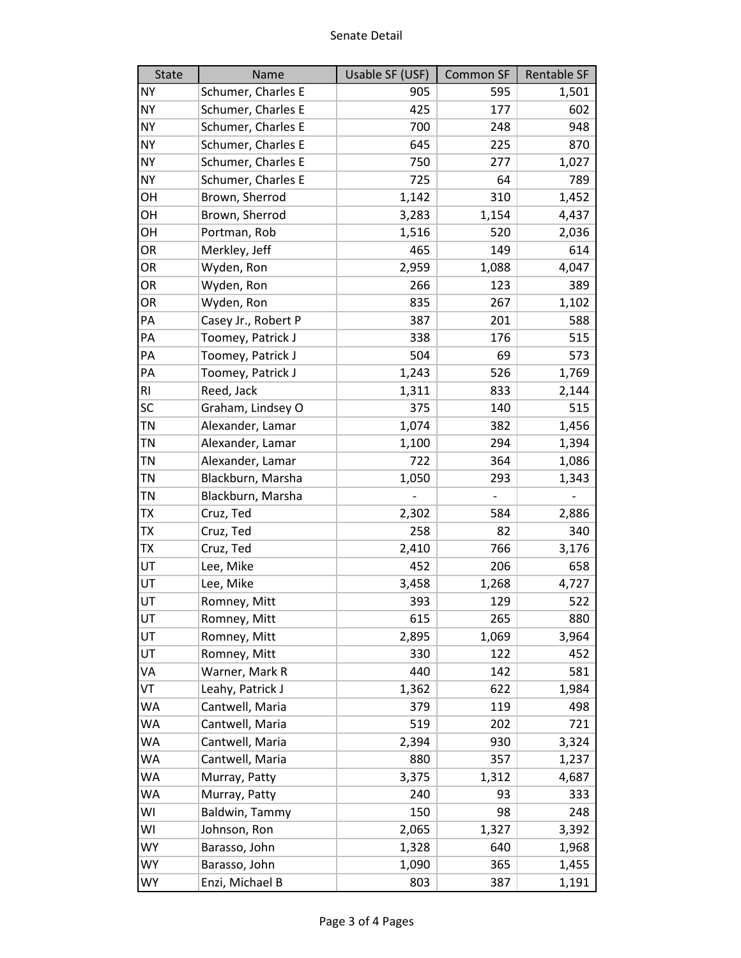| State          | Name                | Usable SF (USF) | Common SF | Rentable SF |
|----------------|---------------------|-----------------|-----------|-------------|
| <b>NY</b>      | Schumer, Charles E  | 905             | 595       | 1,501       |
| <b>NY</b>      | Schumer, Charles E  | 425             | 177       | 602         |
| <b>NY</b>      | Schumer, Charles E  | 700             | 248       | 948         |
| <b>NY</b>      | Schumer, Charles E  | 645             | 225       | 870         |
| <b>NY</b>      | Schumer, Charles E  | 750             | 277       | 1,027       |
| <b>NY</b>      | Schumer, Charles E  | 725             | 64        | 789         |
| OH             | Brown, Sherrod      | 1,142           | 310       | 1,452       |
| OH             | Brown, Sherrod      | 3,283           | 1,154     | 4,437       |
| OH             | Portman, Rob        | 1,516           | 520       | 2,036       |
| OR             | Merkley, Jeff       | 465             | 149       | 614         |
| OR             | Wyden, Ron          | 2,959           | 1,088     | 4,047       |
| OR             | Wyden, Ron          | 266             | 123       | 389         |
| OR             | Wyden, Ron          | 835             | 267       | 1,102       |
| PA             | Casey Jr., Robert P | 387             | 201       | 588         |
| PA             | Toomey, Patrick J   | 338             | 176       | 515         |
| PA             | Toomey, Patrick J   | 504             | 69        | 573         |
| PA             | Toomey, Patrick J   | 1,243           | 526       | 1,769       |
| R <sub>l</sub> | Reed, Jack          | 1,311           | 833       | 2,144       |
| SC             | Graham, Lindsey O   | 375             | 140       | 515         |
| TN             | Alexander, Lamar    | 1,074           | 382       | 1,456       |
| ΤN             | Alexander, Lamar    | 1,100           | 294       | 1,394       |
| <b>TN</b>      | Alexander, Lamar    | 722             | 364       | 1,086       |
| TN             | Blackburn, Marsha   | 1,050           | 293       | 1,343       |
| TN             | Blackburn, Marsha   |                 |           |             |
| <b>TX</b>      | Cruz, Ted           | 2,302           | 584       | 2,886       |
| TΧ             | Cruz, Ted           | 258             | 82        | 340         |
| TX             | Cruz, Ted           | 2,410           | 766       | 3,176       |
| UT             | Lee, Mike           | 452             | 206       | 658         |
| UT             | Lee, Mike           | 3,458           | 1,268     | 4,727       |
| UT             | Romney, Mitt        | 393             | 129       | 522         |
| UT             | Romney, Mitt        | 615             | 265       | 880         |
| UT             | Romney, Mitt        | 2,895           | 1,069     | 3,964       |
| UT             | Romney, Mitt        | 330             | 122       | 452         |
| VA             | Warner, Mark R      | 440             | 142       | 581         |
| VT             | Leahy, Patrick J    | 1,362           | 622       | 1,984       |
| <b>WA</b>      | Cantwell, Maria     | 379             | 119       | 498         |
| WA             | Cantwell, Maria     | 519             | 202       | 721         |
| WA             | Cantwell, Maria     | 2,394           | 930       | 3,324       |
| WA             | Cantwell, Maria     | 880             | 357       | 1,237       |
| WA             | Murray, Patty       | 3,375           | 1,312     | 4,687       |
| WA             | Murray, Patty       | 240             | 93        | 333         |
| WI             | Baldwin, Tammy      | 150             | 98        | 248         |
| WI             | Johnson, Ron        | 2,065           | 1,327     | 3,392       |
| <b>WY</b>      | Barasso, John       | 1,328           | 640       | 1,968       |
| <b>WY</b>      | Barasso, John       | 1,090           | 365       | 1,455       |
| <b>WY</b>      | Enzi, Michael B     | 803             | 387       | 1,191       |